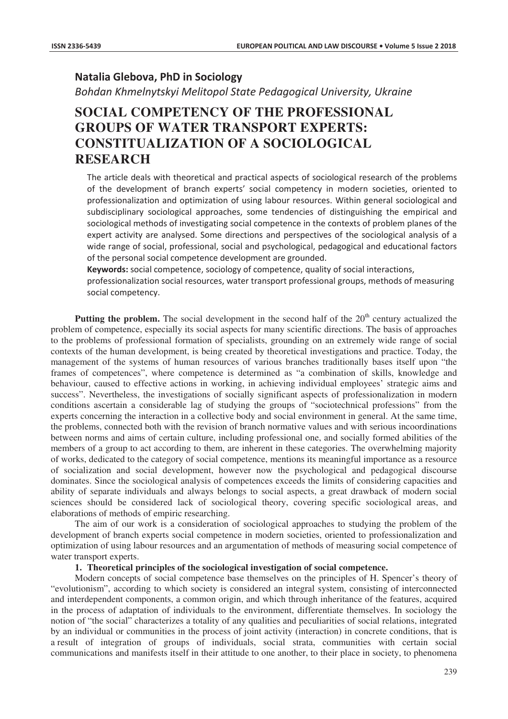# **Natalia Glebova, PhD in Sociology**

*Bohdan Khmelnytskyi Melitopol State Pedagogical University, Ukraine* 

# **SOCIAL COMPETENCY OF THE PROFESSIONAL GROUPS OF WATER TRANSPORT EXPERTS: CONSTITUALIZATION OF A SOCIOLOGICAL RESEARCH**

The article deals with theoretical and practical aspects of sociological research of the problems of the development of branch experts' social competency in modern societies, oriented to professionalization and optimization of using labour resources. Within general sociological and subdisciplinary sociological approaches, some tendencies of distinguishing the empirical and sociological methods of investigating social competence in the contexts of problem planes of the expert activity are analysed. Some directions and perspectives of the sociological analysis of a wide range of social, professional, social and psychological, pedagogical and educational factors of the personal social competence development are grounded.

Keywords: social competence, sociology of competence, quality of social interactions.

professionalization social resources, water transport professional groups, methods of measuring social competency.

**Putting the problem.** The social development in the second half of the  $20<sup>th</sup>$  century actualized the problem of competence, especially its social aspects for many scientific directions. The basis of approaches to the problems of professional formation of specialists, grounding on an extremely wide range of social contexts of the human development, is being created by theoretical investigations and practice. Today, the management of the systems of human resources of various branches traditionally bases itself upon "the frames of competences", where competence is determined as "a combination of skills, knowledge and behaviour, caused to effective actions in working, in achieving individual employees' strategic aims and success". Nevertheless, the investigations of socially significant aspects of professionalization in modern conditions ascertain a considerable lag of studying the groups of "sociotechnical professions" from the experts concerning the interaction in a collective body and social environment in general. At the same time, the problems, connected both with the revision of branch normative values and with serious incoordinations between norms and aims of certain culture, including professional one, and socially formed abilities of the members of a group to act according to them, are inherent in these categories. The overwhelming majority of works, dedicated to the category of social competence, mentions its meaningful importance as a resource of socialization and social development, however now the psychological and pedagogical discourse dominates. Since the sociological analysis of competences exceeds the limits of considering capacities and ability of separate individuals and always belongs to social aspects, a great drawback of modern social sciences should be considered lack of sociological theory, covering specific sociological areas, and elaborations of methods of empiric researching.

The aim of our work is a consideration of sociological approaches to studying the problem of the development of branch experts social competence in modern societies, oriented to professionalization and optimization of using labour resources and an argumentation of methods of measuring social competence of water transport experts.

# **1. Theoretical principles of the sociological investigation of social competence.**

Modern concepts of social competence base themselves on the principles of H. Spencer's theory of "evolutionism", according to which society is considered an integral system, consisting of interconnected and interdependent components, a common origin, and which through inheritance of the features, acquired in the process of adaptation of individuals to the environment, differentiate themselves. In sociology the notion of "the social" characterizes a totality of any qualities and peculiarities of social relations, integrated by an individual or communities in the process of joint activity (interaction) in concrete conditions, that is a result of integration of groups of individuals, social strata, communities with certain social communications and manifests itself in their attitude to one another, to their place in society, to phenomena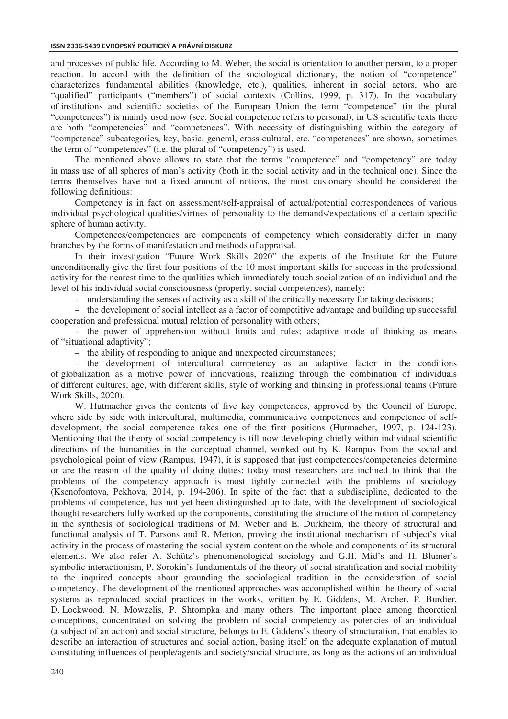#### **ISSN 2336-5439 EVROPSKÝ POLITICKÝ A PRÁVNÍ DISKURZ**

and processes of public life. According to M. Weber, the social is orientation to another person, to a proper reaction. In accord with the definition of the sociological dictionary, the notion of "competence" characterizes fundamental abilities (knowledge, etc.), qualities, inherent in social actors, who are "qualified" participants ("members") of social contexts (Collins, 1999, p. 317). In the vocabulary of institutions and scientific societies of the European Union the term "competence" (in the plural "competences") is mainly used now (see: Social competence refers to personal), in US scientific texts there are both "competencies" and "competences". With necessity of distinguishing within the category of "competence" subcategories, key, basic, general, cross-cultural, etc. "competences" are shown, sometimes the term of "competences" (i.e. the plural of "competency") is used.

The mentioned above allows to state that the terms "competence" and "competency" are today in mass use of all spheres of man's activity (both in the social activity and in the technical one). Since the terms themselves have not a fixed amount of notions, the most customary should be considered the following definitions:

Competency is in fact on assessment/self-appraisal of actual/potential correspondences of various individual psychological qualities/virtues of personality to the demands/expectations of a certain specific sphere of human activity.

Competences/competencies are components of competency which considerably differ in many branches by the forms of manifestation and methods of appraisal.

In their investigation "Future Work Skills 2020" the experts of the Institute for the Future unconditionally give the first four positions of the 10 most important skills for success in the professional activity for the nearest time to the qualities which immediately touch socialization of an individual and the level of his individual social consciousness (properly, social competences), namely:

– understanding the senses of activity as a skill of the critically necessary for taking decisions;

– the development of social intellect as a factor of competitive advantage and building up successful cooperation and professional mutual relation of personality with others;

– the power of apprehension without limits and rules; adaptive mode of thinking as means of "situational adaptivity";

– the ability of responding to unique and unexpected circumstances;

– the development of intercultural competency as an adaptive factor in the conditions of globalization as a motive power of innovations, realizing through the combination of individuals of different cultures, age, with different skills, style of working and thinking in professional teams (Future Work Skills, 2020).

W. Hutmacher gives the contents of five key competences, approved by the Council of Europe, where side by side with intercultural, multimedia, communicative competences and competence of selfdevelopment, the social competence takes one of the first positions (Hutmacher, 1997, p. 124-123). Mentioning that the theory of social competency is till now developing chiefly within individual scientific directions of the humanities in the conceptual channel, worked out by K. Rampus from the social and psychological point of view (Rampus, 1947), it is supposed that just competences/competencies determine or are the reason of the quality of doing duties; today most researchers are inclined to think that the problems of the competency approach is most tightly connected with the problems of sociology (Ksenofontova, Pekhova, 2014, p. 194-206). In spite of the fact that a subdiscipline, dedicated to the problems of competence, has not yet been distinguished up to date, with the development of sociological thought researchers fully worked up the components, constituting the structure of the notion of competency in the synthesis of sociological traditions of M. Weber and E. Durkheim, the theory of structural and functional analysis of T. Parsons and R. Merton, proving the institutional mechanism of subject's vital activity in the process of mastering the social system content on the whole and components of its structural elements. We also refer A. Schütz's phenomenological sociology and G.H. Mid's and H. Blumer's symbolic interactionism, P. Sorokin's fundamentals of the theory of social stratification and social mobility to the inquired concepts about grounding the sociological tradition in the consideration of social competency. The development of the mentioned approaches was accomplished within the theory of social systems as reproduced social practices in the works, written by E. Giddens, M. Archer, P. Burdier, D. Lockwood. N. Mowzelis, P. Shtompka and many others. The important place among theoretical conceptions, concentrated on solving the problem of social competency as potencies of an individual (a subject of an action) and social structure, belongs to E. Giddens's theory of structuration, that enables to describe an interaction of structures and social action, basing itself on the adequate explanation of mutual constituting influences of people/agents and society/social structure, as long as the actions of an individual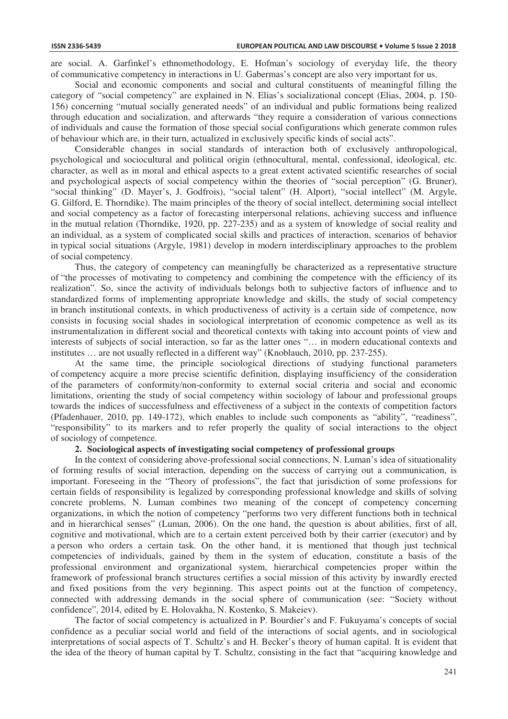are social. A. Garfinkel's ethnomethodology, E. Hofman's sociology of everyday life, the theory of communicative competency in interactions in U. Gabermas's concept are also very important for us.

Social and economic components and social and cultural constituents of meaningful filling the category of "social competency" are explained in N. Elias's socializational concept (Elias, 2004, p. 150- 156) concerning "mutual socially generated needs" of an individual and public formations being realized through education and socialization, and afterwards "they require a consideration of various connections of individuals and cause the formation of those special social configurations which generate common rules of behaviour which are, in their turn, actualized in exclusively specific kinds of social acts".

Considerable changes in social standards of interaction both of exclusively anthropological, psychological and sociocultural and political origin (ethnocultural, mental, confessional, ideological, etc. character, as well as in moral and ethical aspects to a great extent activated scientific researches of social and psychological aspects of social competency within the theories of "social perception" (G. Bruner), "social thinking" (D. Mayer's, J. Godfrois), "social talent" (H. Alport), "social intellect" (M. Argyle, G. Gilford, E. Thorndike). The maim principles of the theory of social intellect, determining social intellect and social competency as a factor of forecasting interpersonal relations, achieving success and influence in the mutual relation (Thorndike, 1920, pp. 227-235) and as a system of knowledge of social reality and an individual, as a system of complicated social skills and practices of interaction, scenarios of behavior in typical social situations (Argyle, 1981) develop in modern interdisciplinary approaches to the problem of social competency.

Thus, the category of competency can meaningfully be characterized as a representative structure of "the processes of motivating to competency and combining the competence with the efficiency of its realization". So, since the activity of individuals belongs both to subjective factors of influence and to standardized forms of implementing appropriate knowledge and skills, the study of social competency in branch institutional contexts, in which productiveness of activity is a certain side of competence, now consists in focusing social shades in sociological interpretation of economic competence as well as its instrumentalization in different social and theoretical contexts with taking into account points of view and interests of subjects of social interaction, so far as the latter ones "… in modern educational contexts and institutes … are not usually reflected in a different way" (Knoblauch, 2010, pp. 237-255).

At the same time, the principle sociological directions of studying functional parameters of competency acquire a more precise scientific definition, displaying insufficiency of the consideration of the parameters of conformity/non-conformity to external social criteria and social and economic limitations, orienting the study of social competency within sociology of labour and professional groups towards the indices of successfulness and effectiveness of a subject in the contexts of competition factors (Pfadenhauer, 2010, pp. 149-172), which enables to include such components as "ability", "readiness", "responsibility" to its markers and to refer properly the quality of social interactions to the object of sociology of competence.

#### **2. Sociological aspects of investigating social competency of professional groups**

In the context of considering above-professional social connections, N. Luman's idea of situationality of forming results of social interaction, depending on the success of carrying out a communication, is important. Foreseeing in the "Theory of professions", the fact that jurisdiction of some professions for certain fields of responsibility is legalized by corresponding professional knowledge and skills of solving concrete problems, N. Luman combines two meaning of the concept of competency concerning organizations, in which the notion of competency "performs two very different functions both in technical and in hierarchical senses" (Luman, 2006). On the one hand, the question is about abilities, first of all, cognitive and motivational, which are to a certain extent perceived both by their carrier (executor) and by a person who orders a certain task. On the other hand, it is mentioned that though just technical competencies of individuals, gained by them in the system of education, constitute a basis of the professional environment and organizational system, hierarchical competencies proper within the framework of professional branch structures certifies a social mission of this activity by inwardly erected and fixed positions from the very beginning. This aspect points out at the function of competency, connected with addressing demands in the social sphere of communication (see: "Society without confidence", 2014, edited by E. Holovakha, N. Kostenko, S. Makeiev).

The factor of social competency is actualized in P. Bourdier's and F. Fukuyama's concepts of social confidence as a peculiar social world and field of the interactions of social agents, and in sociological interpretations of social aspects of T. Schultz's and H. Becker's theory of human capital. It is evident that the idea of the theory of human capital by T. Schultz, consisting in the fact that "acquiring knowledge and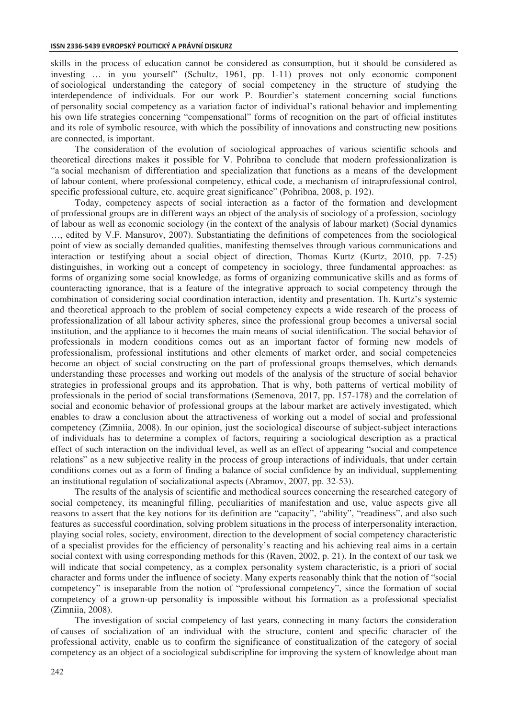skills in the process of education cannot be considered as consumption, but it should be considered as investing … in you yourself" (Schultz, 1961, pp. 1-11) proves not only economic component of sociological understanding the category of social competency in the structure of studying the interdependence of individuals. For our work P. Bourdier's statement concerning social functions of personality social competency as a variation factor of individual's rational behavior and implementing his own life strategies concerning "compensational" forms of recognition on the part of official institutes and its role of symbolic resource, with which the possibility of innovations and constructing new positions are connected, is important.

The consideration of the evolution of sociological approaches of various scientific schools and theoretical directions makes it possible for V. Pohribna to conclude that modern professionalization is "a social mechanism of differentiation and specialization that functions as a means of the development of labour content, where professional competency, ethical code, a mechanism of intraprofessional control, specific professional culture, etc. acquire great significance" (Pohribna, 2008, p. 192).

Today, competency aspects of social interaction as a factor of the formation and development of professional groups are in different ways an object of the analysis of sociology of a profession, sociology of labour as well as economic sociology (in the context of the analysis of labour market) (Social dynamics …, edited by V.F. Mansurov, 2007). Substantiating the definitions of competences from the sociological point of view as socially demanded qualities, manifesting themselves through various communications and interaction or testifying about a social object of direction, Thomas Kurtz (Kurtz, 2010, pp. 7-25) distinguishes, in working out a concept of competency in sociology, three fundamental approaches: as forms of organizing some social knowledge, as forms of organizing communicative skills and as forms of counteracting ignorance, that is a feature of the integrative approach to social competency through the combination of considering social coordination interaction, identity and presentation. Th. Kurtz's systemic and theoretical approach to the problem of social competency expects a wide research of the process of professionalization of all labour activity spheres, since the professional group becomes a universal social institution, and the appliance to it becomes the main means of social identification. The social behavior of professionals in modern conditions comes out as an important factor of forming new models of professionalism, professional institutions and other elements of market order, and social competencies become an object of social constructing on the part of professional groups themselves, which demands understanding these processes and working out models of the analysis of the structure of social behavior strategies in professional groups and its approbation. That is why, both patterns of vertical mobility of professionals in the period of social transformations (Semenova, 2017, pp. 157-178) and the correlation of social and economic behavior of professional groups at the labour market are actively investigated, which enables to draw a conclusion about the attractiveness of working out a model of social and professional competency (Zimniia, 2008). In our opinion, just the sociological discourse of subject-subject interactions of individuals has to determine a complex of factors, requiring a sociological description as a practical effect of such interaction on the individual level, as well as an effect of appearing "social and competence relations" as a new subjective reality in the process of group interactions of individuals, that under certain conditions comes out as a form of finding a balance of social confidence by an individual, supplementing an institutional regulation of socializational aspects (Abramov, 2007, pp. 32-53).

The results of the analysis of scientific and methodical sources concerning the researched category of social competency, its meaningful filling, peculiarities of manifestation and use, value aspects give all reasons to assert that the key notions for its definition are "capacity", "ability", "readiness", and also such features as successful coordination, solving problem situations in the process of interpersonality interaction, playing social roles, society, environment, direction to the development of social competency characteristic of a specialist provides for the efficiency of personality's reacting and his achieving real aims in a certain social context with using corresponding methods for this (Raven, 2002, p. 21). In the context of our task we will indicate that social competency, as a complex personality system characteristic, is a priori of social character and forms under the influence of society. Many experts reasonably think that the notion of "social competency" is inseparable from the notion of "professional competency", since the formation of social competency of a grown-up personality is impossible without his formation as a professional specialist (Zimniia, 2008).

The investigation of social competency of last years, connecting in many factors the consideration of causes of socialization of an individual with the structure, content and specific character of the professional activity, enable us to confirm the significance of constitualization of the category of social competency as an object of a sociological subdiscripline for improving the system of knowledge about man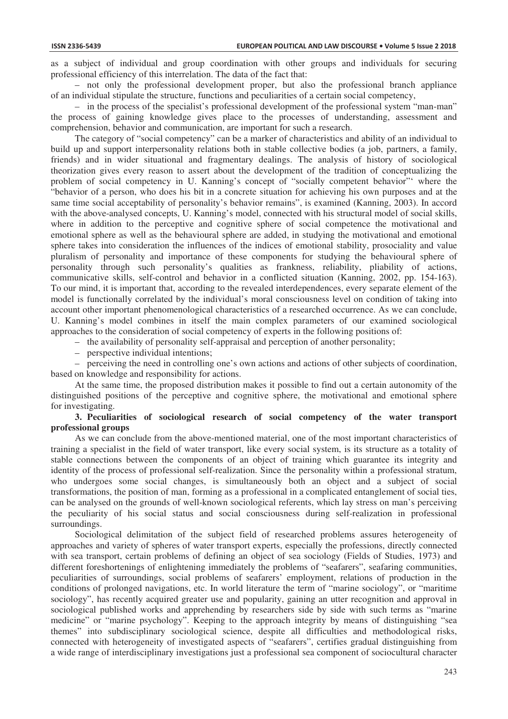as a subject of individual and group coordination with other groups and individuals for securing professional efficiency of this interrelation. The data of the fact that:

– not only the professional development proper, but also the professional branch appliance of an individual stipulate the structure, functions and peculiarities of a certain social competency,

– in the process of the specialist's professional development of the professional system "man-man" the process of gaining knowledge gives place to the processes of understanding, assessment and comprehension, behavior and communication, are important for such a research.

The category of "social competency" can be a marker of characteristics and ability of an individual to build up and support interpersonality relations both in stable collective bodies (a job, partners, a family, friends) and in wider situational and fragmentary dealings. The analysis of history of sociological theorization gives every reason to assert about the development of the tradition of conceptualizing the problem of social competency in U. Kanning's concept of "socially competent behavior"' where the "behavior of a person, who does his bit in a concrete situation for achieving his own purposes and at the same time social acceptability of personality's behavior remains", is examined (Kanning, 2003). In accord with the above-analysed concepts, U. Kanning's model, connected with his structural model of social skills, where in addition to the perceptive and cognitive sphere of social competence the motivational and emotional sphere as well as the behavioural sphere are added, in studying the motivational and emotional sphere takes into consideration the influences of the indices of emotional stability, prosociality and value pluralism of personality and importance of these components for studying the behavioural sphere of personality through such personality's qualities as frankness, reliability, pliability of actions, communicative skills, self-control and behavior in a conflicted situation (Kanning, 2002, pp. 154-163). To our mind, it is important that, according to the revealed interdependences, every separate element of the model is functionally correlated by the individual's moral consciousness level on condition of taking into account other important phenomenological characteristics of a researched occurrence. As we can conclude, U. Kanning's model combines in itself the main complex parameters of our examined sociological approaches to the consideration of social competency of experts in the following positions of:

– the availability of personality self-appraisal and perception of another personality;

– perspective individual intentions;

– perceiving the need in controlling one's own actions and actions of other subjects of coordination, based on knowledge and responsibility for actions.

At the same time, the proposed distribution makes it possible to find out a certain autonomity of the distinguished positions of the perceptive and cognitive sphere, the motivational and emotional sphere for investigating.

#### **3. Peculiarities of sociological research of social competency of the water transport professional groups**

As we can conclude from the above-mentioned material, one of the most important characteristics of training a specialist in the field of water transport, like every social system, is its structure as a totality of stable connections between the components of an object of training which guarantee its integrity and identity of the process of professional self-realization. Since the personality within a professional stratum, who undergoes some social changes, is simultaneously both an object and a subject of social transformations, the position of man, forming as a professional in a complicated entanglement of social ties, can be analysed on the grounds of well-known sociological referents, which lay stress on man's perceiving the peculiarity of his social status and social consciousness during self-realization in professional surroundings.

Sociological delimitation of the subject field of researched problems assures heterogeneity of approaches and variety of spheres of water transport experts, especially the professions, directly connected with sea transport, certain problems of defining an object of sea sociology (Fields of Studies, 1973) and different foreshortenings of enlightening immediately the problems of "seafarers", seafaring communities, peculiarities of surroundings, social problems of seafarers' employment, relations of production in the conditions of prolonged navigations, etc. In world literature the term of "marine sociology", or "maritime sociology", has recently acquired greater use and popularity, gaining an utter recognition and approval in sociological published works and apprehending by researchers side by side with such terms as "marine medicine" or "marine psychology". Keeping to the approach integrity by means of distinguishing "sea themes" into subdisciplinary sociological science, despite all difficulties and methodological risks, connected with heterogeneity of investigated aspects of "seafarers", certifies gradual distinguishing from a wide range of interdisciplinary investigations just a professional sea component of sociocultural character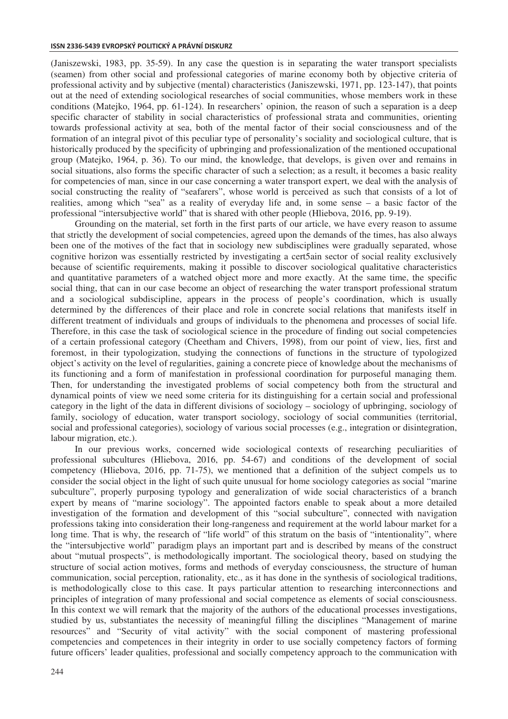(Janiszewski, 1983, pp. 35-59). In any case the question is in separating the water transport specialists (seamen) from other social and professional categories of marine economy both by objective criteria of professional activity and by subjective (mental) characteristics (Janiszewski, 1971, pp. 123-147), that points out at the need of extending sociological researches of social communities, whose members work in these conditions (Matejko, 1964, pp. 61-124). In researchers' opinion, the reason of such a separation is a deep specific character of stability in social characteristics of professional strata and communities, orienting towards professional activity at sea, both of the mental factor of their social consciousness and of the formation of an integral pivot of this peculiar type of personality's sociality and sociological culture, that is historically produced by the specificity of upbringing and professionalization of the mentioned occupational group (Matejko, 1964, p. 36). To our mind, the knowledge, that develops, is given over and remains in social situations, also forms the specific character of such a selection; as a result, it becomes a basic reality for competencies of man, since in our case concerning a water transport expert, we deal with the analysis of social constructing the reality of "seafarers", whose world is perceived as such that consists of a lot of realities, among which "sea" as a reality of everyday life and, in some sense – a basic factor of the professional "intersubjective world" that is shared with other people (Hliebova, 2016, pp. 9-19).

Grounding on the material, set forth in the first parts of our article, we have every reason to assume that strictly the development of social competencies, agreed upon the demands of the times, has also always been one of the motives of the fact that in sociology new subdisciplines were gradually separated, whose cognitive horizon was essentially restricted by investigating a cert5ain sector of social reality exclusively because of scientific requirements, making it possible to discover sociological qualitative characteristics and quantitative parameters of a watched object more and more exactly. At the same time, the specific social thing, that can in our case become an object of researching the water transport professional stratum and a sociological subdiscipline, appears in the process of people's coordination, which is usually determined by the differences of their place and role in concrete social relations that manifests itself in different treatment of individuals and groups of individuals to the phenomena and processes of social life. Therefore, in this case the task of sociological science in the procedure of finding out social competencies of a certain professional category (Cheetham and Chivers, 1998), from our point of view, lies, first and foremost, in their typologization, studying the connections of functions in the structure of typologized object's activity on the level of regularities, gaining a concrete piece of knowledge about the mechanisms of its functioning and a form of manifestation in professional coordination for purposeful managing them. Then, for understanding the investigated problems of social competency both from the structural and dynamical points of view we need some criteria for its distinguishing for a certain social and professional category in the light of the data in different divisions of sociology – sociology of upbringing, sociology of family, sociology of education, water transport sociology, sociology of social communities (territorial, social and professional categories), sociology of various social processes (e.g., integration or disintegration, labour migration, etc.).

In our previous works, concerned wide sociological contexts of researching peculiarities of professional subcultures (Hliebova, 2016, pp. 54-67) and conditions of the development of social competency (Hliebova, 2016, pp. 71-75), we mentioned that a definition of the subject compels us to consider the social object in the light of such quite unusual for home sociology categories as social "marine subculture", properly purposing typology and generalization of wide social characteristics of a branch expert by means of "marine sociology". The appointed factors enable to speak about a more detailed investigation of the formation and development of this "social subculture", connected with navigation professions taking into consideration their long-rangeness and requirement at the world labour market for a long time. That is why, the research of "life world" of this stratum on the basis of "intentionality", where the "intersubjective world" paradigm plays an important part and is described by means of the construct about "mutual prospects", is methodologically important. The sociological theory, based on studying the structure of social action motives, forms and methods of everyday consciousness, the structure of human communication, social perception, rationality, etc., as it has done in the synthesis of sociological traditions, is methodologically close to this case. It pays particular attention to researching interconnections and principles of integration of many professional and social competence as elements of social consciousness. In this context we will remark that the majority of the authors of the educational processes investigations, studied by us, substantiates the necessity of meaningful filling the disciplines "Management of marine resources" and "Security of vital activity" with the social component of mastering professional competencies and competences in their integrity in order to use socially competency factors of forming future officers' leader qualities, professional and socially competency approach to the communication with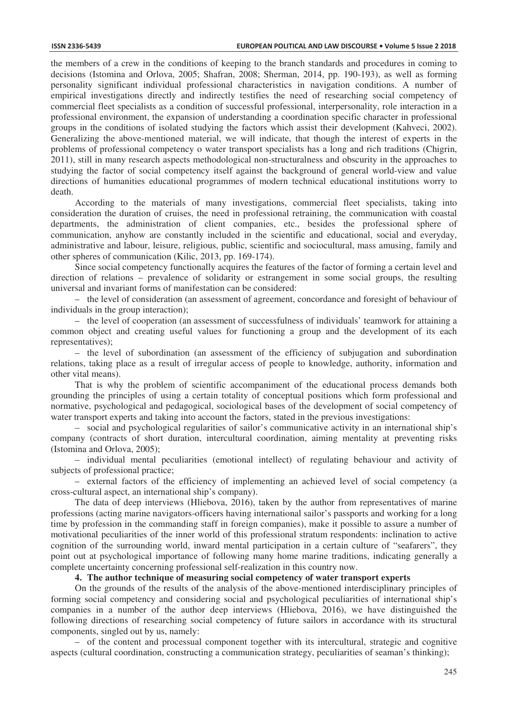the members of a crew in the conditions of keeping to the branch standards and procedures in coming to decisions (Istomina and Orlova, 2005; Shafran, 2008; Sherman, 2014, pp. 190-193), as well as forming personality significant individual professional characteristics in navigation conditions. A number of empirical investigations directly and indirectly testifies the need of researching social competency of commercial fleet specialists as a condition of successful professional, interpersonality, role interaction in a professional environment, the expansion of understanding a coordination specific character in professional groups in the conditions of isolated studying the factors which assist their development (Kahveci, 2002). Generalizing the above-mentioned material, we will indicate, that though the interest of experts in the problems of professional competency o water transport specialists has a long and rich traditions (Chigrin, 2011), still in many research aspects methodological non-structuralness and obscurity in the approaches to studying the factor of social competency itself against the background of general world-view and value directions of humanities educational programmes of modern technical educational institutions worry to death.

According to the materials of many investigations, commercial fleet specialists, taking into consideration the duration of cruises, the need in professional retraining, the communication with coastal departments, the administration of client companies, etc., besides the professional sphere of communication, anyhow are constantly included in the scientific and educational, social and everyday, administrative and labour, leisure, religious, public, scientific and sociocultural, mass amusing, family and other spheres of communication (Kilic, 2013, pp. 169-174).

Since social competency functionally acquires the features of the factor of forming a certain level and direction of relations – prevalence of solidarity or estrangement in some social groups, the resulting universal and invariant forms of manifestation can be considered:

– the level of consideration (an assessment of agreement, concordance and foresight of behaviour of individuals in the group interaction);

– the level of cooperation (an assessment of successfulness of individuals' teamwork for attaining a common object and creating useful values for functioning a group and the development of its each representatives);

– the level of subordination (an assessment of the efficiency of subjugation and subordination relations, taking place as a result of irregular access of people to knowledge, authority, information and other vital means).

That is why the problem of scientific accompaniment of the educational process demands both grounding the principles of using a certain totality of conceptual positions which form professional and normative, psychological and pedagogical, sociological bases of the development of social competency of water transport experts and taking into account the factors, stated in the previous investigations:

– social and psychological regularities of sailor's communicative activity in an international ship's company (contracts of short duration, intercultural coordination, aiming mentality at preventing risks (Istomina and Orlova, 2005);

– individual mental peculiarities (emotional intellect) of regulating behaviour and activity of subjects of professional practice;

– external factors of the efficiency of implementing an achieved level of social competency (a cross-cultural aspect, an international ship's company).

The data of deep interviews (Hliebova, 2016), taken by the author from representatives of marine professions (acting marine navigators-officers having international sailor's passports and working for a long time by profession in the commanding staff in foreign companies), make it possible to assure a number of motivational peculiarities of the inner world of this professional stratum respondents: inclination to active cognition of the surrounding world, inward mental participation in a certain culture of "seafarers", they point out at psychological importance of following many home marine traditions, indicating generally a complete uncertainty concerning professional self-realization in this country now.

#### **4. The author technique of measuring social competency of water transport experts**

On the grounds of the results of the analysis of the above-mentioned interdisciplinary principles of forming social competency and considering social and psychological peculiarities of international ship's companies in a number of the author deep interviews (Hliebova, 2016), we have distinguished the following directions of researching social competency of future sailors in accordance with its structural components, singled out by us, namely:

– of the content and processual component together with its intercultural, strategic and cognitive aspects (cultural coordination, constructing a communication strategy, peculiarities of seaman's thinking);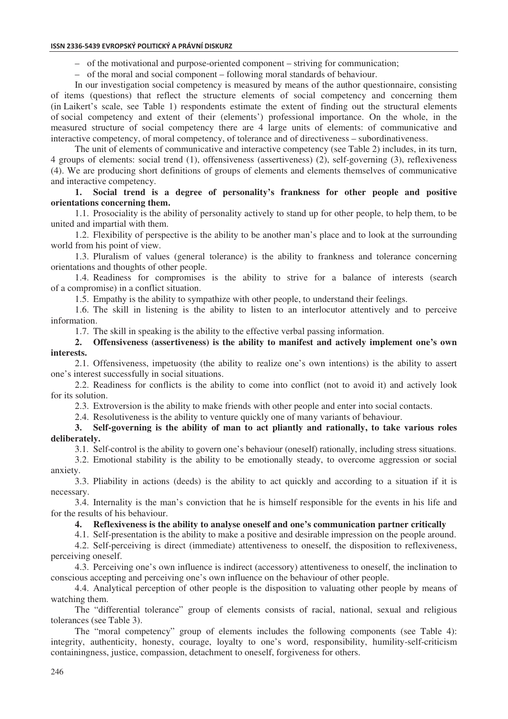#### **ISSN 2336-5439 EVROPSKÝ POLITICKÝ A PRÁVNÍ DISKURZ**

– of the motivational and purpose-oriented component – striving for communication;

– of the moral and social component – following moral standards of behaviour.

In our investigation social competency is measured by means of the author questionnaire, consisting of items (questions) that reflect the structure elements of social competency and concerning them (in Laikert's scale, see Table 1) respondents estimate the extent of finding out the structural elements of social competency and extent of their (elements') professional importance. On the whole, in the measured structure of social competency there are 4 large units of elements: of communicative and interactive competency, of moral competency, of tolerance and of directiveness – subordinativeness.

The unit of elements of communicative and interactive competency (see Table 2) includes, in its turn, 4 groups of elements: social trend (1), offensiveness (assertiveness) (2), self-governing (3), reflexiveness (4). We are producing short definitions of groups of elements and elements themselves of communicative and interactive competency.

## **1. Social trend is a degree of personality's frankness for other people and positive orientations concerning them.**

1.1. Prosociality is the ability of personality actively to stand up for other people, to help them, to be united and impartial with them.

1.2. Flexibility of perspective is the ability to be another man's place and to look at the surrounding world from his point of view.

1.3. Pluralism of values (general tolerance) is the ability to frankness and tolerance concerning orientations and thoughts of other people.

1.4. Readiness for compromises is the ability to strive for a balance of interests (search of a compromise) in a conflict situation.

1.5. Empathy is the ability to sympathize with other people, to understand their feelings.

1.6. The skill in listening is the ability to listen to an interlocutor attentively and to perceive information.

1.7. The skill in speaking is the ability to the effective verbal passing information.

## **2. Offensiveness (assertiveness) is the ability to manifest and actively implement one's own interests.**

2.1. Offensiveness, impetuosity (the ability to realize one's own intentions) is the ability to assert one's interest successfully in social situations.

2.2. Readiness for conflicts is the ability to come into conflict (not to avoid it) and actively look for its solution.

2.3. Extroversion is the ability to make friends with other people and enter into social contacts.

2.4. Resolutiveness is the ability to venture quickly one of many variants of behaviour.

## **3. Self-governing is the ability of man to act pliantly and rationally, to take various roles deliberately.**

3.1. Self-control is the ability to govern one's behaviour (oneself) rationally, including stress situations.

3.2. Emotional stability is the ability to be emotionally steady, to overcome aggression or social anxiety.

3.3. Pliability in actions (deeds) is the ability to act quickly and according to a situation if it is necessary.

3.4. Internality is the man's conviction that he is himself responsible for the events in his life and for the results of his behaviour.

#### **4. Reflexiveness is the ability to analyse oneself and one's communication partner critically**

4.1. Self-presentation is the ability to make a positive and desirable impression on the people around. 4.2. Self-perceiving is direct (immediate) attentiveness to oneself, the disposition to reflexiveness,

perceiving oneself. 4.3. Perceiving one's own influence is indirect (accessory) attentiveness to oneself, the inclination to

conscious accepting and perceiving one's own influence on the behaviour of other people. 4.4. Analytical perception of other people is the disposition to valuating other people by means of watching them.

The "differential tolerance" group of elements consists of racial, national, sexual and religious tolerances (see Table 3).

The "moral competency" group of elements includes the following components (see Table 4): integrity, authenticity, honesty, courage, loyalty to one's word, responsibility, humility-self-criticism containingness, justice, compassion, detachment to oneself, forgiveness for others.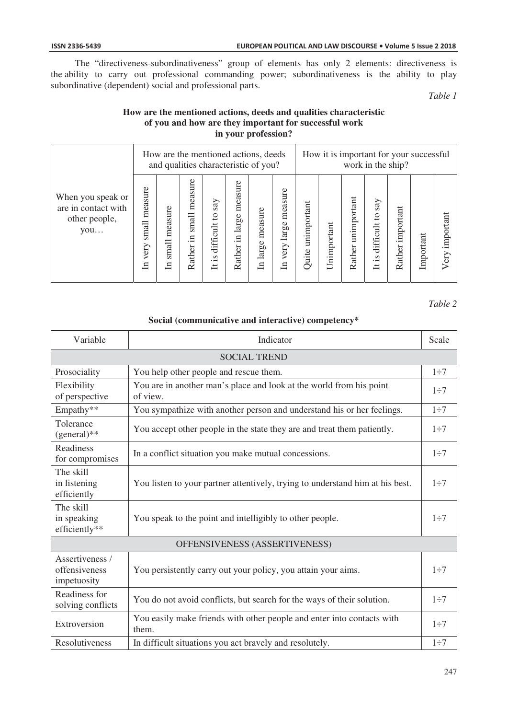The "directiveness-subordinativeness" group of elements has only 2 elements: directiveness is the ability to carry out professional commanding power; subordinativeness is the ability to play subordinative (dependent) social and professional parts.

*Table 1* 

# **How are the mentioned actions, deeds and qualities characteristic of you and how are they important for successful work in your profession?**

|                                                                  | How are the mentioned actions, deeds<br>and qualities characteristic of you? |                                  |                                  |                                               |                               |                                      | How it is important for your successful<br>work in the ship? |                      |             |                       |                                                   |                     |           |                  |
|------------------------------------------------------------------|------------------------------------------------------------------------------|----------------------------------|----------------------------------|-----------------------------------------------|-------------------------------|--------------------------------------|--------------------------------------------------------------|----------------------|-------------|-----------------------|---------------------------------------------------|---------------------|-----------|------------------|
| When you speak or<br>are in contact with<br>other people,<br>you | measure<br>small<br>very<br>ョ                                                | measure<br>small<br>$\mathbb{H}$ | measure<br>small<br>Ξ.<br>Rather | say<br>$\circ$<br>difficult<br>Š.<br>$\equiv$ | measure<br>in large<br>Rather | measure<br>arge<br>∸<br>$\mathbb{H}$ | measure<br>arge<br>$\overline{\phantom{0}}$<br>very<br>듸     | unimportant<br>Quite | Unimportant | unimportant<br>Rather | say<br>$\overline{c}$<br>difficult<br>.<br>2<br>出 | important<br>Rather | Important | important<br>ery |

*Table 2* 

# **Social (communicative and interactive) competency\***

| Variable                                        | Indicator                                                                       |           |  |  |  |  |
|-------------------------------------------------|---------------------------------------------------------------------------------|-----------|--|--|--|--|
| <b>SOCIAL TREND</b>                             |                                                                                 |           |  |  |  |  |
| Prosociality                                    | You help other people and rescue them.                                          | $1\div 7$ |  |  |  |  |
| Flexibility<br>of perspective                   | You are in another man's place and look at the world from his point<br>of view. | $1\div 7$ |  |  |  |  |
| Empathy**                                       | You sympathize with another person and understand his or her feelings.          | $1\div 7$ |  |  |  |  |
| Tolerance<br>$(general)**$                      | You accept other people in the state they are and treat them patiently.         | $1\div 7$ |  |  |  |  |
| Readiness<br>for compromises                    | In a conflict situation you make mutual concessions.                            | $1\div 7$ |  |  |  |  |
| The skill<br>in listening<br>efficiently        | You listen to your partner attentively, trying to understand him at his best.   | $1\div 7$ |  |  |  |  |
| The skill<br>in speaking<br>efficiently**       | You speak to the point and intelligibly to other people.                        | $1\div 7$ |  |  |  |  |
| OFFENSIVENESS (ASSERTIVENESS)                   |                                                                                 |           |  |  |  |  |
| Assertiveness /<br>offensiveness<br>impetuosity | You persistently carry out your policy, you attain your aims.                   | $1\div 7$ |  |  |  |  |
| Readiness for<br>solving conflicts              | You do not avoid conflicts, but search for the ways of their solution.          | $1\div 7$ |  |  |  |  |
| Extroversion                                    | You easily make friends with other people and enter into contacts with<br>them. | $1\div 7$ |  |  |  |  |
| Resolutiveness                                  | In difficult situations you act bravely and resolutely.                         | $1\div 7$ |  |  |  |  |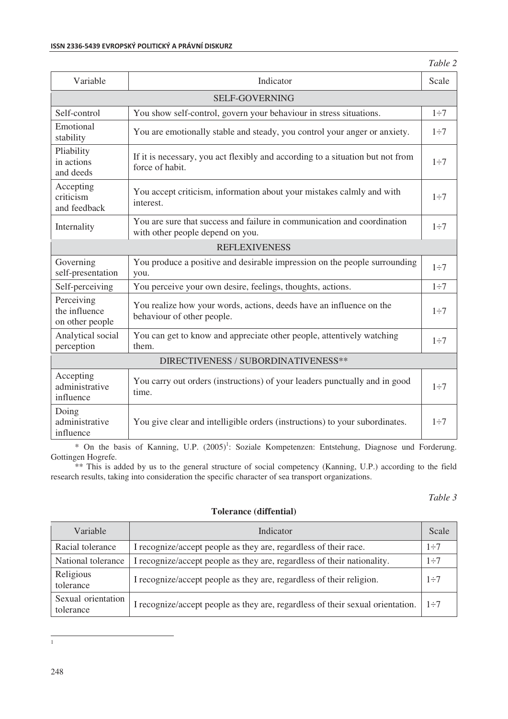| Variable                                       | Indicator                                                                                                   |           |  |  |  |  |
|------------------------------------------------|-------------------------------------------------------------------------------------------------------------|-----------|--|--|--|--|
| <b>SELF-GOVERNING</b>                          |                                                                                                             |           |  |  |  |  |
| Self-control                                   | You show self-control, govern your behaviour in stress situations.                                          | $1\div 7$ |  |  |  |  |
| Emotional<br>stability                         | You are emotionally stable and steady, you control your anger or anxiety.                                   | $1\div 7$ |  |  |  |  |
| Pliability<br>in actions<br>and deeds          | If it is necessary, you act flexibly and according to a situation but not from<br>force of habit.           | $1\div 7$ |  |  |  |  |
| Accepting<br>criticism<br>and feedback         | You accept criticism, information about your mistakes calmly and with<br>interest.                          | $1\div 7$ |  |  |  |  |
| Internality                                    | You are sure that success and failure in communication and coordination<br>with other people depend on you. | $1\div 7$ |  |  |  |  |
|                                                | <b>REFLEXIVENESS</b>                                                                                        |           |  |  |  |  |
| Governing<br>self-presentation                 | You produce a positive and desirable impression on the people surrounding<br>you.                           | $1\div 7$ |  |  |  |  |
| Self-perceiving                                | You perceive your own desire, feelings, thoughts, actions.                                                  | $1\div 7$ |  |  |  |  |
| Perceiving<br>the influence<br>on other people | You realize how your words, actions, deeds have an influence on the<br>behaviour of other people.           | $1\div 7$ |  |  |  |  |
| Analytical social<br>perception                | You can get to know and appreciate other people, attentively watching<br>them.                              | $1\div 7$ |  |  |  |  |
| DIRECTIVENESS / SUBORDINATIVENESS**            |                                                                                                             |           |  |  |  |  |
| Accepting<br>administrative<br>influence       | You carry out orders (instructions) of your leaders punctually and in good<br>time.                         | $1\div 7$ |  |  |  |  |
| Doing<br>administrative<br>influence           | You give clear and intelligible orders (instructions) to your subordinates.                                 | $1\div 7$ |  |  |  |  |

\* On the basis of Kanning, U.P. (2005)<sup>1</sup>: Soziale Kompetenzen: Entstehung, Diagnose und Forderung. Gottingen Hogrefe.

\*\* This is added by us to the general structure of social competency (Kanning, U.P.) according to the field research results, taking into consideration the specific character of sea transport organizations.

# *Table 3*

# **Tolerance (diffential)**

| Variable                        | Indicator                                                                      |            |  |  |
|---------------------------------|--------------------------------------------------------------------------------|------------|--|--|
| Racial tolerance                | I recognize/accept people as they are, regardless of their race.               | $1 \div 7$ |  |  |
| National tolerance              | I recognize/accept people as they are, regardless of their nationality.        | $1\div 7$  |  |  |
| Religious<br>tolerance          | I recognize/accept people as they are, regardless of their religion.           | $1\div 7$  |  |  |
| Sexual orientation<br>tolerance | I recognize/accept people as they are, regardless of their sexual orientation. | $1 \div 7$ |  |  |

<sup>|&</sup>lt;br>|<br>|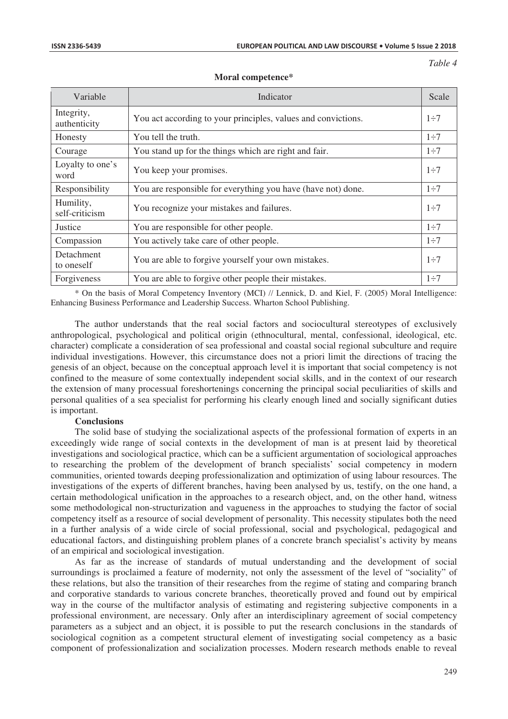*Table 4* 

| Variable                    | Indicator                                                     | Scale      |
|-----------------------------|---------------------------------------------------------------|------------|
| Integrity,<br>authenticity  | You act according to your principles, values and convictions. | $1\div 7$  |
| Honesty                     | You tell the truth.                                           | $1\div 7$  |
| Courage                     | You stand up for the things which are right and fair.         | $1\div 7$  |
| Loyalty to one's<br>word    | You keep your promises.                                       | $1 \div 7$ |
| Responsibility              | You are responsible for everything you have (have not) done.  | $1\div 7$  |
| Humility,<br>self-criticism | You recognize your mistakes and failures.                     | $1\div 7$  |
| Justice                     | You are responsible for other people.                         | $1\div 7$  |
| Compassion                  | You actively take care of other people.                       | $1 \div 7$ |
| Detachment<br>to oneself    | You are able to forgive yourself your own mistakes.           | $1 \div 7$ |
| Forgiveness                 | You are able to forgive other people their mistakes.          | $1\div 7$  |

#### **Moral competence\***

\* On the basis of Moral Competency Inventory (MCI) // Lennick, D. and Kiel, F. (2005) Moral Intelligence: Enhancing Business Performance and Leadership Success. Wharton School Publishing.

The author understands that the real social factors and sociocultural stereotypes of exclusively anthropological, psychological and political origin (ethnocultural, mental, confessional, ideological, etc. character) complicate a consideration of sea professional and coastal social regional subculture and require individual investigations. However, this circumstance does not a priori limit the directions of tracing the genesis of an object, because on the conceptual approach level it is important that social competency is not confined to the measure of some contextually independent social skills, and in the context of our research the extension of many processual foreshortenings concerning the principal social peculiarities of skills and personal qualities of a sea specialist for performing his clearly enough lined and socially significant duties is important.

#### **Conclusions**

The solid base of studying the socializational aspects of the professional formation of experts in an exceedingly wide range of social contexts in the development of man is at present laid by theoretical investigations and sociological practice, which can be a sufficient argumentation of sociological approaches to researching the problem of the development of branch specialists' social competency in modern communities, oriented towards deeping professionalization and optimization of using labour resources. The investigations of the experts of different branches, having been analysed by us, testify, on the one hand, a certain methodological unification in the approaches to a research object, and, on the other hand, witness some methodological non-structurization and vagueness in the approaches to studying the factor of social competency itself as a resource of social development of personality. This necessity stipulates both the need in a further analysis of a wide circle of social professional, social and psychological, pedagogical and educational factors, and distinguishing problem planes of a concrete branch specialist's activity by means of an empirical and sociological investigation.

As far as the increase of standards of mutual understanding and the development of social surroundings is proclaimed a feature of modernity, not only the assessment of the level of "sociality" of these relations, but also the transition of their researches from the regime of stating and comparing branch and corporative standards to various concrete branches, theoretically proved and found out by empirical way in the course of the multifactor analysis of estimating and registering subjective components in a professional environment, are necessary. Only after an interdisciplinary agreement of social competency parameters as a subject and an object, it is possible to put the research conclusions in the standards of sociological cognition as a competent structural element of investigating social competency as a basic component of professionalization and socialization processes. Modern research methods enable to reveal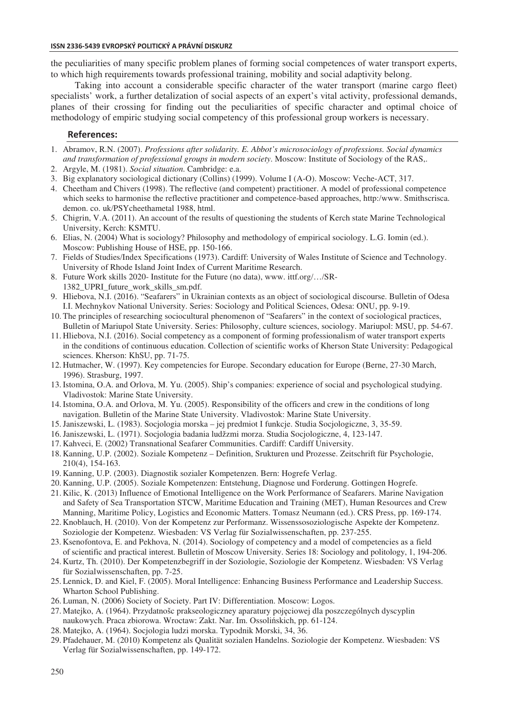#### **ISSN 2336-5439 EVROPSKÝ POLITICKÝ A PRÁVNÍ DISKURZ**

the peculiarities of many specific problem planes of forming social competences of water transport experts, to which high requirements towards professional training, mobility and social adaptivity belong.

Taking into account a considerable specific character of the water transport (marine cargo fleet) specialists' work, a further detalization of social aspects of an expert's vital activity, professional demands, planes of their crossing for finding out the peculiarities of specific character and optimal choice of methodology of empiric studying social competency of this professional group workers is necessary.

### **References:**

- 1. Abramov, R.N. (2007). *Professions after solidarity. E. Abbot's microsociology of professions. Social dynamics and transformation of professional groups in modern society*. Moscow: Institute of Sociology of the RAS,.
- 2. Argyle, M. (1981). *Social situation*. Cambridge: e.a.
- 3. Big explanatory sociological dictionary (Collins) (1999). Volume I (A-O). Moscow: Veche-ACT, 317.
- 4. Cheetham and Chivers (1998). The reflective (and competent) practitioner. A model of professional competence which seeks to harmonise the reflective practitioner and competence-based approaches, http:/www. Smithscrisca. demon. co. uk/PSYcheethametal 1988, html.
- 5. Chigrin, V.A. (2011). An account of the results of questioning the students of Kerch state Marine Technological University, Kerch: KSMTU.
- 6. Elias, N. (2004) What is sociology? Philosophy and methodology of empirical sociology. L.G. Iomin (ed.). Moscow: Publishing House of HSE, pp. 150-166.
- 7. Fields of Studies/Index Specifications (1973). Cardiff: University of Wales Institute of Science and Technology. University of Rhode Island Joint Index of Current Maritime Research.
- 8. Future Work skills 2020- Institute for the Future (no data), www. ittf.org/…/SR-1382 UPRI future work skills sm.pdf.
- 9. Hliebova, N.I. (2016). "Seafarers" in Ukrainian contexts as an object of sociological discourse. Bulletin of Odesa I.I. Mechnykov National University. Series: Sociology and Political Sciences, Odesa: ONU, pp. 9-19.
- 10. The principles of researching sociocultural phenomenon of "Seafarers" in the context of sociological practices, Bulletin of Mariupol State University. Series: Philosophy, culture sciences, sociology. Mariupol: MSU, pp. 54-67.
- 11. Hliebova, N.I. (2016). Social competency as a component of forming professionalism of water transport experts in the conditions of continuous education. Collection of scientific works of Kherson State University: Pedagogical sciences. Kherson: KhSU, pp. 71-75.
- 12. Hutmacher, W. (1997). Key competencies for Europe. Secondary education for Europe (Berne, 27-30 March, 1996). Strasburg, 1997.
- 13.Istomina, O.A. and Orlova, M. Yu. (2005). Ship's companies: experience of social and psychological studying. Vladivostok: Marine State University.
- 14.Istomina, O.A. and Orlova, M. Yu. (2005). Responsibility of the officers and crew in the conditions of long navigation. Bulletin of the Marine State University. Vladivostok: Marine State University.
- 15.Janiszewski, L. (1983). Socjologia morska jej predmiot I funkcje. Studia Socjologiczne, 3, 35-59.
- 16.Janiszewski, L. (1971). Socjologia badania ludžzmi morza. Studia Socjologiczne, 4, 123-147.
- 17. Kahveci, E. (2002) Transnational Seafarer Communities. Cardiff: Cardiff University.
- 18. Kanning, U.P. (2002). Soziale Kompetenz Definition, Srukturen und Prozesse. Zeitschrift für Psychologie, 210(4), 154-163.
- 19. Kanning, U.P. (2003). Diagnostik sozialer Kompetenzen. Bern: Hogrefe Verlag.
- 20. Kanning, U.P. (2005). Soziale Kompetenzen: Entstehung, Diagnose und Forderung. Gottingen Hogrefe.
- 21. Kilic, K. (2013) Influence of Emotional Intelligence on the Work Performance of Seafarers. Marine Navigation and Safety of Sea Transportation STCW, Maritime Education and Training (MET), Human Resources and Crew Manning, Maritime Policy, Logistics and Economic Matters. Tomasz Neumann (ed.). CRS Press, pp. 169-174.
- 22. Knoblauch, H. (2010). Von der Kompetenz zur Performanz. Wissenssosoziologische Aspekte der Kompetenz. Soziologie der Kompetenz. Wiesbaden: VS Verlag für Sozialwissenschaften, pp. 237-255.
- 23. Ksenofontova, E. and Pekhova, N. (2014). Sociology of competency and a model of competencies as a field of scientific and practical interest. Bulletin of Moscow University. Series 18: Sociology and politology, 1, 194-206.
- 24. Kurtz, Th. (2010). Der Kompetenzbegriff in der Soziologie, Soziologie der Kompetenz. Wiesbaden: VS Verlag für Sozialwissenschaften, pp. 7-25.
- 25. Lennick, D. and Kiel, F. (2005). Moral Intelligence: Enhancing Business Performance and Leadership Success. Wharton School Publishing.
- 26. Luman, N. (2006) Society of Society. Part IV: Differentiation. Moscow: Logos.
- 27. Matejko, A. (1964). Przydatnośc prakseologiczney aparatury pojęciowej dla poszczególnych dyscyplin naukowych. Praca zbiorowa. Wroctaw: Zakt. Nar. Im. Ossolińskich, pp. 61-124.
- 28. Matejko, A. (1964). Socjologia ludzi morska. Typodnik Morski, 34, 36.
- 29. Pfadehauer, M. (2010) Kompetenz als Qualität sozialen Handelns. Soziologie der Kompetenz. Wiesbaden: VS Verlag für Sozialwissenschaften, pp. 149-172.